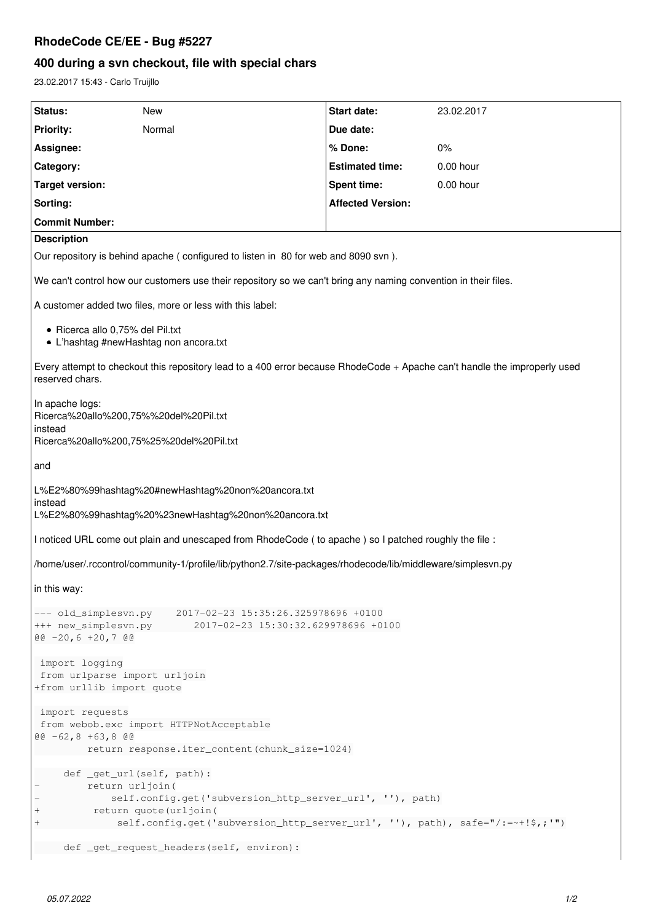## **RhodeCode CE/EE - Bug #5227**

# **400 during a svn checkout, file with special chars**

23.02.2017 15:43 - Carlo Truijllo

| Status:                                                                                                                                        | New                                                                                                                                                                                                                   | Start date:              | 23.02.2017  |
|------------------------------------------------------------------------------------------------------------------------------------------------|-----------------------------------------------------------------------------------------------------------------------------------------------------------------------------------------------------------------------|--------------------------|-------------|
| <b>Priority:</b>                                                                                                                               | Normal                                                                                                                                                                                                                | Due date:                |             |
| Assignee:                                                                                                                                      |                                                                                                                                                                                                                       | % Done:                  | $0\%$       |
| Category:                                                                                                                                      |                                                                                                                                                                                                                       | <b>Estimated time:</b>   | $0.00$ hour |
| <b>Target version:</b>                                                                                                                         |                                                                                                                                                                                                                       | <b>Spent time:</b>       | $0.00$ hour |
| Sorting:                                                                                                                                       |                                                                                                                                                                                                                       | <b>Affected Version:</b> |             |
| <b>Commit Number:</b>                                                                                                                          |                                                                                                                                                                                                                       |                          |             |
| <b>Description</b>                                                                                                                             |                                                                                                                                                                                                                       |                          |             |
| Our repository is behind apache (configured to listen in 80 for web and 8090 svn).                                                             |                                                                                                                                                                                                                       |                          |             |
| We can't control how our customers use their repository so we can't bring any naming convention in their files.                                |                                                                                                                                                                                                                       |                          |             |
| A customer added two files, more or less with this label:                                                                                      |                                                                                                                                                                                                                       |                          |             |
| · Ricerca allo 0,75% del Pil.txt<br>• L'hashtag #newHashtag non ancora.txt                                                                     |                                                                                                                                                                                                                       |                          |             |
| Every attempt to checkout this repository lead to a 400 error because RhodeCode + Apache can't handle the improperly used<br>reserved chars.   |                                                                                                                                                                                                                       |                          |             |
| In apache logs:<br>Ricerca%20allo%200,75%%20del%20Pil.txt<br>instead                                                                           |                                                                                                                                                                                                                       |                          |             |
| Ricerca%20allo%200,75%25%20del%20Pil.txt                                                                                                       |                                                                                                                                                                                                                       |                          |             |
| and                                                                                                                                            |                                                                                                                                                                                                                       |                          |             |
| L%E2%80%99hashtag%20#newHashtag%20non%20ancora.txt<br>instead<br>L%E2%80%99hashtag%20%23newHashtag%20non%20ancora.txt                          |                                                                                                                                                                                                                       |                          |             |
| I noticed URL come out plain and unescaped from RhodeCode (to apache) so I patched roughly the file :                                          |                                                                                                                                                                                                                       |                          |             |
| /home/user/.rccontrol/community-1/profile/lib/python2.7/site-packages/rhodecode/lib/middleware/simplesvn.py                                    |                                                                                                                                                                                                                       |                          |             |
| in this way:                                                                                                                                   |                                                                                                                                                                                                                       |                          |             |
| 2017-02-23 15:35:26.325978696 +0100<br>--- old_simplesvn.py<br>+++ new_simplesvn.py<br>2017-02-23 15:30:32.629978696 +0100<br>$@@-20,6+20,7@@$ |                                                                                                                                                                                                                       |                          |             |
| import logging<br>from urlparse import urljoin<br>+from urllib import quote                                                                    |                                                                                                                                                                                                                       |                          |             |
| import requests<br>from webob.exc import HTTPNotAcceptable<br>$@@-62, 8 +63, 8 @@$<br>return response.iter_content(chunk_size=1024)            |                                                                                                                                                                                                                       |                          |             |
| $^{+}$<br>$^{+}$                                                                                                                               | def _get_url(self, path):<br>return urljoin (<br>self.config.get('subversion_http_server_url', ''), path)<br>return quote (urljoin (<br>self.config.get('subversion_http_server_url', ''), path), safe="/:=~+!\$,;'") |                          |             |
|                                                                                                                                                | def _get_request_headers(self, environ):                                                                                                                                                                              |                          |             |